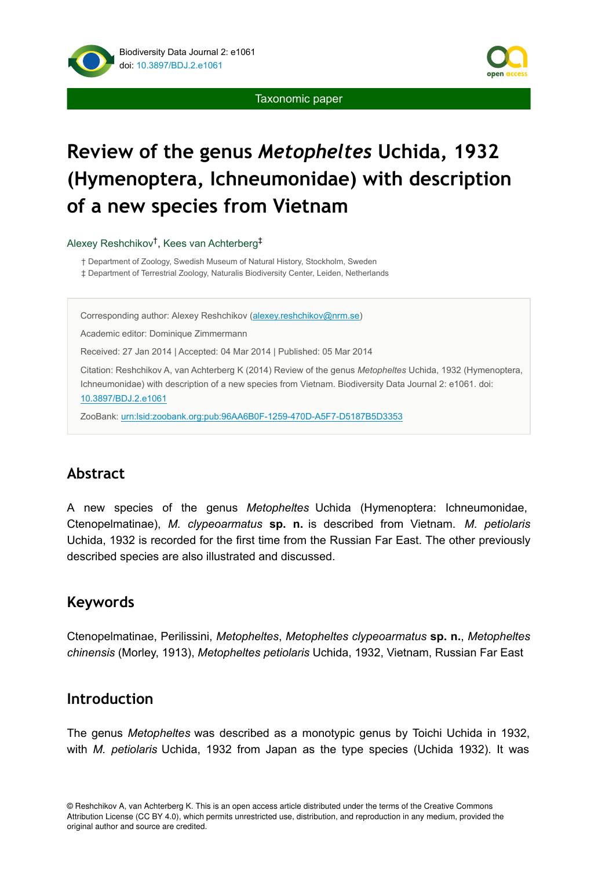

Taxonomic paper

# **Review of the genus** *Metopheltes* **Uchida, 1932 (Hymenoptera, Ichneumonidae) with description of a new species from Vietnam**

Alexey Reshchikov<sup>†</sup>, Kees van Achterberg<sup>‡</sup>

† Department of Zoology, Swedish Museum of Natural History, Stockholm, Sweden

‡ Department of Terrestrial Zoology, Naturalis Biodiversity Center, Leiden, Netherlands

Corresponding author: Alexey Reshchikov ([alexey.reshchikov@nrm.se](mailto:alexey.reshchikov@nrm.se))

Academic editor: Dominique Zimmermann

Received: 27 Jan 2014 | Accepted: 04 Mar 2014 | Published: 05 Mar 2014

Citation: Reshchikov A, van Achterberg K (2014) Review of the genus *Metopheltes* Uchida, 1932 (Hymenoptera, Ichneumonidae) with description of a new species from Vietnam. Biodiversity Data Journal 2: e1061. doi: [10.3897/BDJ.2.e1061](http://dx.doi.org/10.3897/BDJ.2.e1061)

ZooBank: [urn:lsid:zoobank.org:pub:96AA6B0F-1259-470D-A5F7-D5187B5D3353](http://zoobank.org/96AA6B0F-1259-470D-A5F7-D5187B5D3353)

# **Abstract**

A new species of the genus *Metopheltes* Uchida (Hymenoptera: Ichneumonidae, Ctenopelmatinae), *M. clypeoarmatus* **sp. n.** is described from Vietnam. *M. petiolaris* Uchida, 1932 is recorded for the first time from the Russian Far East. The other previously described species are also illustrated and discussed.

## **Keywords**

Ctenopelmatinae, Perilissini, *Metopheltes*, *Metopheltes clypeoarmatus* **sp. n.**, *Metopheltes chinensis* (Morley, 1913), *Metopheltes petiolaris* Uchida, 1932, Vietnam, Russian Far East

## **Introduction**

The genus *Metopheltes* was described as a monotypic genus by Toichi Uchida in 1932, with *M. petiolaris* Uchida, 1932 from Japan as the type species (Uchida 1932). It was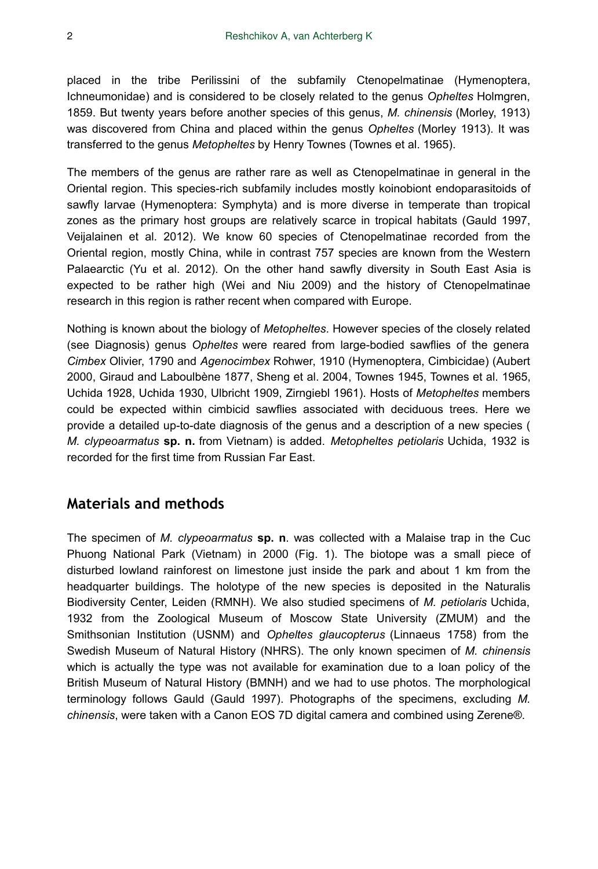placed in the tribe Perilissini of the subfamily Ctenopelmatinae (Hymenoptera, Ichneumonidae) and is considered to be closely related to the genus *Opheltes* Holmgren, 1859. But twenty years before another species of this genus, *M. chinensis* (Morley, 1913) was discovered from China and placed within the genus *Opheltes* (Morley 1913). It was transferred to the genus *Metopheltes* by Henry Townes (Townes et al. 1965).

The members of the genus are rather rare as well as Ctenopelmatinae in general in the Oriental region. This species-rich subfamily includes mostly koinobiont endoparasitoids of sawfly larvae (Hymenoptera: Symphyta) and is more diverse in temperate than tropical zones as the primary host groups are relatively scarce in tropical habitats (Gauld 1997, Veijalainen et al. 2012). We know 60 species of Ctenopelmatinae recorded from the Oriental region, mostly China, while in contrast 757 species are known from the Western Palaearctic (Yu et al. 2012). On the other hand sawfly diversity in South East Asia is expected to be rather high (Wei and Niu 2009) and the history of Ctenopelmatinae research in this region is rather recent when compared with Europe.

Nothing is known about the biology of *Metopheltes*. However species of the closely related (see Diagnosis) genus *Opheltes* were reared from large-bodied sawflies of the genera *Cimbex* Olivier, 1790 and *Agenocimbex* Rohwer, 1910 (Hymenoptera, Cimbicidae) (Aubert 2000, Giraud and Laboulbène 1877, Sheng et al. 2004, Townes 1945, Townes et al. 1965, Uchida 1928, Uchida 1930, Ulbricht 1909, Zirngiebl 1961). Hosts of *Metopheltes* members could be expected within cimbicid sawflies associated with deciduous trees. Here we provide a detailed up-to-date diagnosis of the genus and a description of a new species ( *M. clypeoarmatus* **sp. n.** from Vietnam) is added. *Metopheltes petiolaris* Uchida, 1932 is recorded for the first time from Russian Far East.

## **Materials and methods**

The specimen of *M. clypeoarmatus* **sp. n**. was collected with a Malaise trap in the Cuc Phuong National Park (Vietnam) in 2000 (Fig. 1). The biotope was a small piece of disturbed lowland rainforest on limestone just inside the park and about 1 km from the headquarter buildings. The holotype of the new species is deposited in the Naturalis Biodiversity Center, Leiden (RMNH). We also studied specimens of *M. petiolaris* Uchida, 1932 from the Zoological Museum of Moscow State University (ZMUM) and the Smithsonian Institution (USNM) and *Opheltes glaucopterus* (Linnaeus 1758) from the Swedish Museum of Natural History (NHRS). The only known specimen of *M. chinensis* which is actually the type was not available for examination due to a loan policy of the British Museum of Natural History (BMNH) and we had to use photos. The morphological terminology follows Gauld (Gauld 1997). Photographs of the specimens, excluding *M. chinensis*, were taken with a Canon EOS 7D digital camera and combined using Zerene®.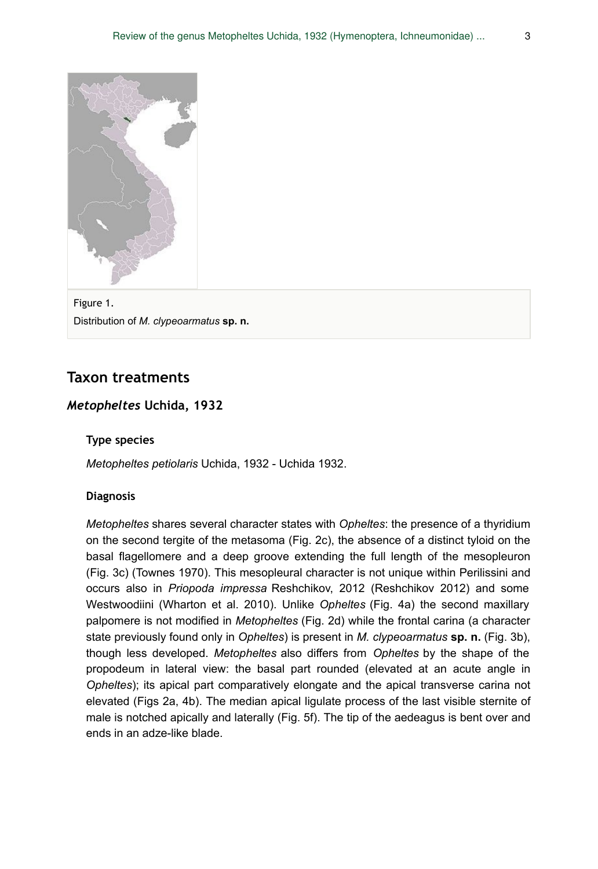

Figure 1. Distribution of *M. clypeoarmatus* **sp. n.**

## **Taxon treatments**

#### *Metopheltes* **Uchida, 1932**

#### **Type species**

*Metopheltes petiolaris* Uchida, 1932 - Uchida 1932.

#### **Diagnosis**

*Metopheltes* shares several character states with *Opheltes*: the presence of a thyridium on the second tergite of the metasoma (Fig. 2c), the absence of a distinct tyloid on the basal flagellomere and a deep groove extending the full length of the mesopleuron (Fig. 3c) (Townes 1970). This mesopleural character is not unique within Perilissini and occurs also in *Priopoda impressa* Reshchikov, 2012 (Reshchikov 2012) and some Westwoodiini (Wharton et al. 2010). Unlike *Opheltes* (Fig. 4a) the second maxillary palpomere is not modified in *Metopheltes* (Fig. 2d) while the frontal carina (a character state previously found only in *Opheltes*) is present in *M. clypeoarmatus* **sp. n.** (Fig. 3b), though less developed. *Metopheltes* also differs from *Opheltes* by the shape of the propodeum in lateral view: the basal part rounded (elevated at an acute angle in *Opheltes*); its apical part comparatively elongate and the apical transverse carina not elevated (Figs 2a, 4b). The median apical ligulate process of the last visible sternite of male is notched apically and laterally (Fig. 5f). The tip of the aedeagus is bent over and ends in an adze-like blade.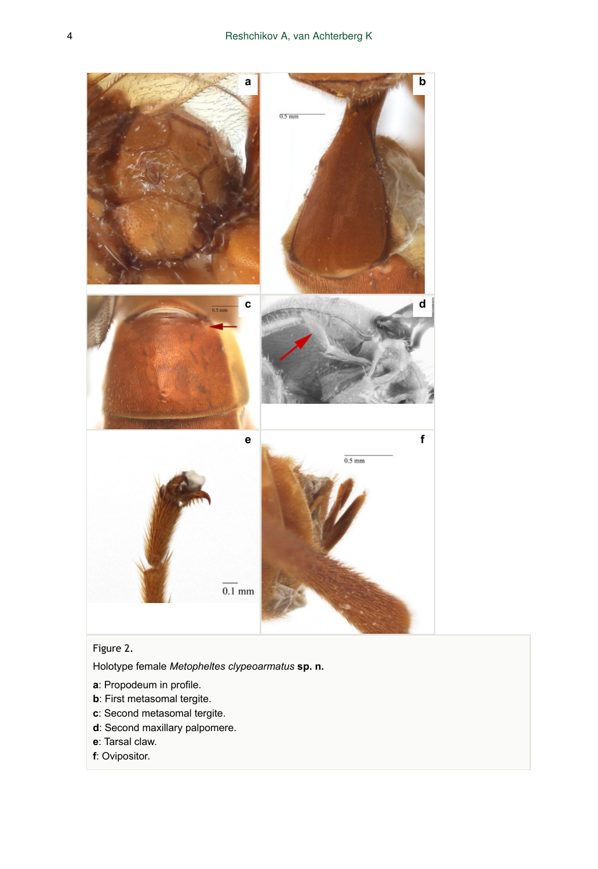

## Figure 2.

Holotype female *Metopheltes clypeoarmatus* **sp. n.**

- **a**: Propodeum in profile.
- **b**: First metasomal tergite.
- **c**: Second metasomal tergite.
- **d**: Second maxillary palpomere.
- **e**: Tarsal claw.
- **f**: Ovipositor.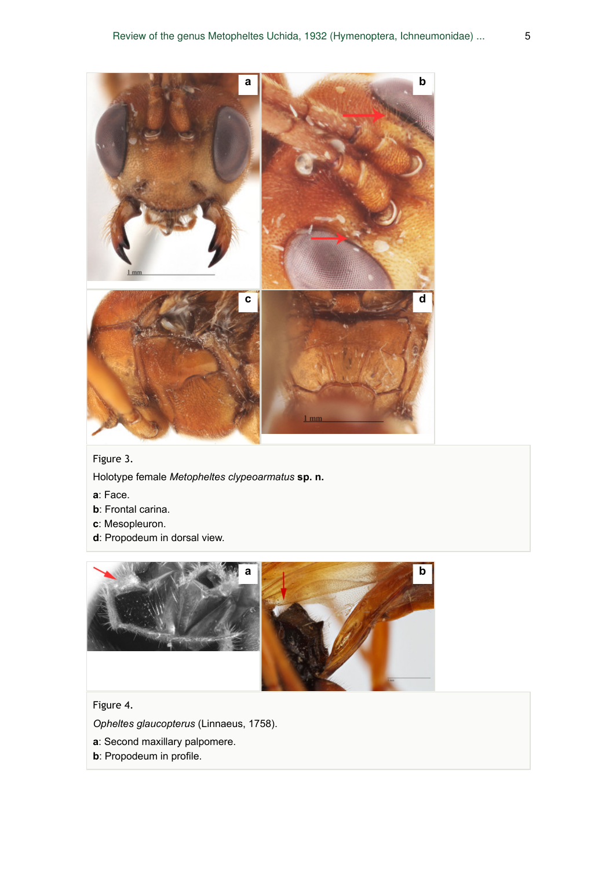

Figure 3.

Holotype female *Metopheltes clypeoarmatus* **sp. n.**

- **a**: Face.
- **b**: Frontal carina.
- **c**: Mesopleuron.
- **d**: Propodeum in dorsal view.



Figure 4.

*Opheltes glaucopterus* (Linnaeus, 1758).

- **a**: Second maxillary palpomere.
- **b**: Propodeum in profile.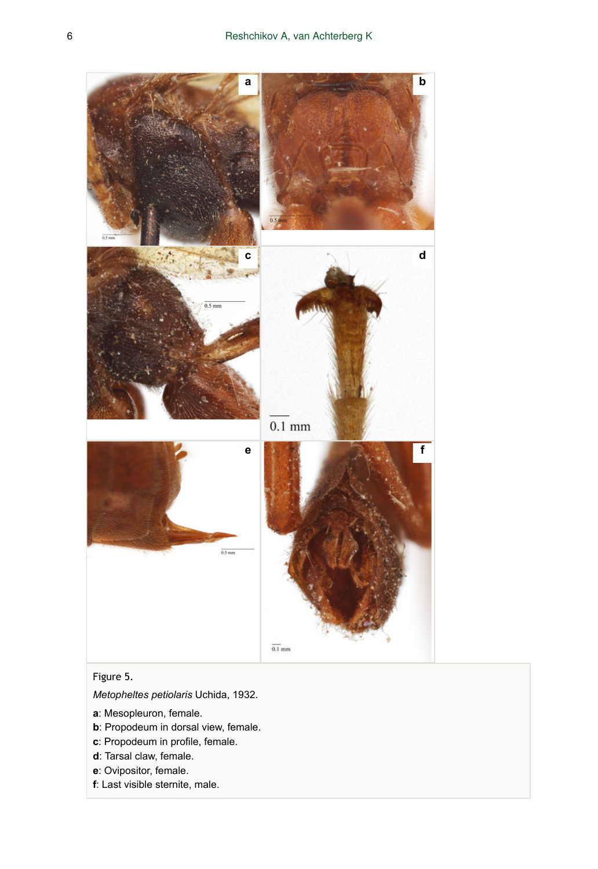

## Figure 5.

*Metopheltes petiolaris* Uchida, 1932.

- **a**: Mesopleuron, female.
- **b**: Propodeum in dorsal view, female.
- **c**: Propodeum in profile, female.
- **d**: Tarsal claw, female.
- **e**: Ovipositor, female.
- **f**: Last visible sternite, male.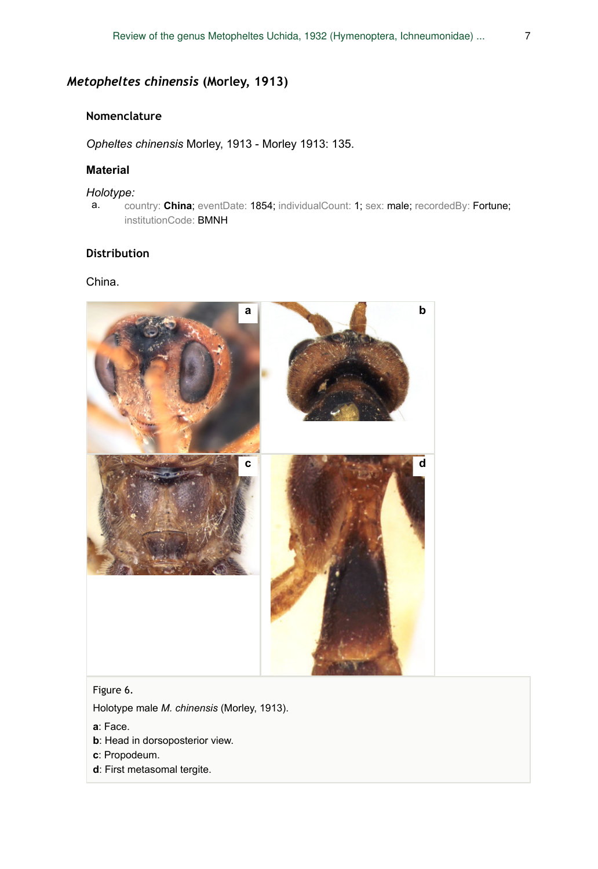## *Metopheltes chinensis* **(Morley, 1913)**

#### **Nomenclature**

*Opheltes chinensis* Morley, 1913 - Morley 1913: 135.

#### **Material**

#### *Holotype:*

a. country: **China**; eventDate: 1854; individualCount: 1; sex: male; recordedBy: Fortune; institutionCode: BMNH

#### **Distribution**

#### China.



#### Figure 6.

Holotype male *M. chinensis* (Morley, 1913).

- **a**: Face.
- **b**: Head in dorsoposterior view.
- **c**: Propodeum.
- **d**: First metasomal tergite.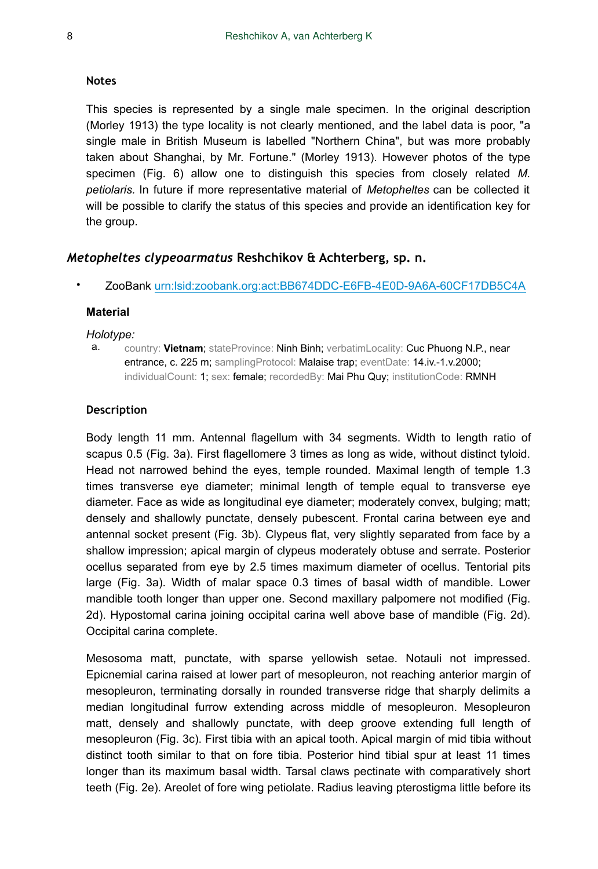#### **Notes**

This species is represented by a single male specimen. In the original description (Morley 1913) the type locality is not clearly mentioned, and the label data is poor, "a single male in British Museum is labelled "Northern China", but was more probably taken about Shanghai, by Mr. Fortune." (Morley 1913). However photos of the type specimen (Fig. 6) allow one to distinguish this species from closely related *M. petiolaris.* In future if more representative material of *Metopheltes* can be collected it will be possible to clarify the status of this species and provide an identification key for the group.

#### *Metopheltes clypeoarmatus* **Reshchikov & Achterberg, sp. n.**

• ZooBank [urn:lsid:zoobank.org:act:BB674DDC-E6FB-4E0D-9A6A-60CF17DB5C4A](http://zoobank.org/BB674DDC-E6FB-4E0D-9A6A-60CF17DB5C4A)

#### **Material**

#### *Holotype:*

a. country: **Vietnam**; stateProvince: Ninh Binh; verbatimLocality: Cuc Phuong N.P., near entrance, c. 225 m; samplingProtocol: Malaise trap; eventDate: 14.iv.-1.v.2000; individualCount: 1; sex: female; recordedBy: Mai Phu Quy; institutionCode: RMNH

#### **Description**

Body length 11 mm. Antennal flagellum with 34 segments. Width to length ratio of scapus 0.5 (Fig. 3a). First flagellomere 3 times as long as wide, without distinct tyloid. Head not narrowed behind the eyes, temple rounded. Maximal length of temple 1.3 times transverse eye diameter; minimal length of temple equal to transverse eye diameter. Face as wide as longitudinal eye diameter; moderately convex, bulging; matt; densely and shallowly punctate, densely pubescent. Frontal carina between eye and antennal socket present (Fig. 3b). Clypeus flat, very slightly separated from face by a shallow impression; apical margin of clypeus moderately obtuse and serrate. Posterior ocellus separated from eye by 2.5 times maximum diameter of ocellus. Tentorial pits large (Fig. 3a). Width of malar space 0.3 times of basal width of mandible. Lower mandible tooth longer than upper one. Second maxillary palpomere not modified (Fig. 2d). Hypostomal carina joining occipital carina well above base of mandible (Fig. 2d). Occipital carina complete.

Mesosoma matt, punctate, with sparse yellowish setae. Notauli not impressed. Epicnemial carina raised at lower part of mesopleuron, not reaching anterior margin of mesopleuron, terminating dorsally in rounded transverse ridge that sharply delimits a median longitudinal furrow extending across middle of mesopleuron. Mesopleuron matt, densely and shallowly punctate, with deep groove extending full length of mesopleuron (Fig. 3c). First tibia with an apical tooth. Apical margin of mid tibia without distinct tooth similar to that on fore tibia. Posterior hind tibial spur at least 11 times longer than its maximum basal width. Tarsal claws pectinate with comparatively short teeth (Fig. 2e). Areolet of fore wing petiolate. Radius leaving pterostigma little before its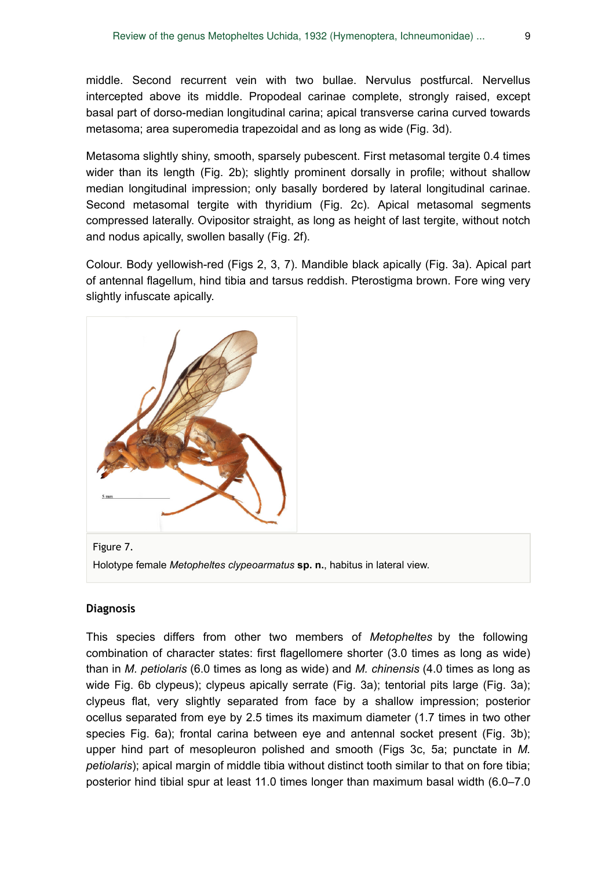middle. Second recurrent vein with two bullae. Nervulus postfurcal. Nervellus intercepted above its middle. Propodeal carinae complete, strongly raised, except basal part of dorso-median longitudinal carina; apical transverse carina curved towards metasoma; area superomedia trapezoidal and as long as wide (Fig. 3d).

Metasoma slightly shiny, smooth, sparsely pubescent. First metasomal tergite 0.4 times wider than its length (Fig. 2b); slightly prominent dorsally in profile; without shallow median longitudinal impression; only basally bordered by lateral longitudinal carinae. Second metasomal tergite with thyridium (Fig. 2c). Apical metasomal segments compressed laterally. Ovipositor straight, as long as height of last tergite, without notch and nodus apically, swollen basally (Fig. 2f).

Colour. Body yellowish-red (Figs 2, 3, 7). Mandible black apically (Fig. 3a). Apical part of antennal flagellum, hind tibia and tarsus reddish. Pterostigma brown. Fore wing very slightly infuscate apically.



Figure 7. Holotype female *Metopheltes clypeoarmatus* **sp. n.**, habitus in lateral view.

#### **Diagnosis**

This species differs from other two members of *Metopheltes* by the following combination of character states: first flagellomere shorter (3.0 times as long as wide) than in *M. petiolaris* (6.0 times as long as wide) and *M. chinensis* (4.0 times as long as wide Fig. 6b clypeus); clypeus apically serrate (Fig. 3a); tentorial pits large (Fig. 3a); clypeus flat, very slightly separated from face by a shallow impression; posterior ocellus separated from eye by 2.5 times its maximum diameter (1.7 times in two other species Fig. 6a); frontal carina between eye and antennal socket present (Fig. 3b); upper hind part of mesopleuron polished and smooth (Figs 3c, 5a; punctate in *M. petiolaris*); apical margin of middle tibia without distinct tooth similar to that on fore tibia; posterior hind tibial spur at least 11.0 times longer than maximum basal width (6.0–7.0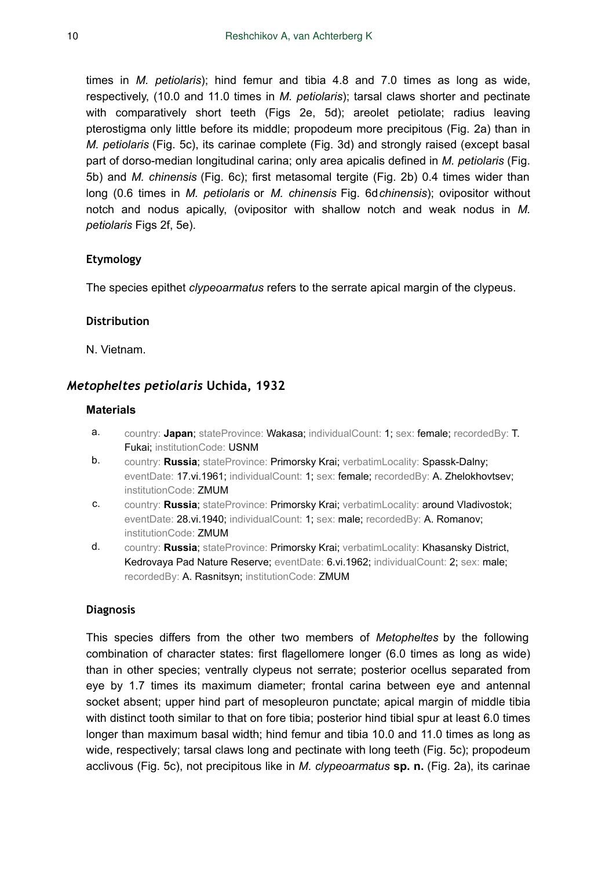times in *M. petiolaris*); hind femur and tibia 4.8 and 7.0 times as long as wide, respectively, (10.0 and 11.0 times in *M. petiolaris*); tarsal claws shorter and pectinate with comparatively short teeth (Figs 2e, 5d); areolet petiolate; radius leaving pterostigma only little before its middle; propodeum more precipitous (Fig. 2a) than in *M. petiolaris* (Fig. 5c), its carinae complete (Fig. 3d) and strongly raised (except basal part of dorso-median longitudinal carina; only area apicalis defined in *M. petiolaris* (Fig. 5b) and *M. chinensis* (Fig. 6c); first metasomal tergite (Fig. 2b) 0.4 times wider than long (0.6 times in *M. petiolaris* or *M. chinensis* Fig. 6d*chinensis*); ovipositor without notch and nodus apically, (ovipositor with shallow notch and weak nodus in *M. petiolaris* Figs 2f, 5e).

#### **Etymology**

The species epithet *clypeoarmatus* refers to the serrate apical margin of the clypeus.

#### **Distribution**

N. Vietnam.

#### *Metopheltes petiolaris* **Uchida, 1932**

#### **Materials**

- a. country: **Japan**; stateProvince: Wakasa; individualCount: 1; sex: female; recordedBy: T. Fukai; institutionCode: USNM
- b. country: **Russia**; stateProvince: Primorsky Krai; verbatimLocality: Spassk-Dalny; eventDate: 17.vi.1961; individualCount: 1; sex: female; recordedBy: A. Zhelokhovtsev; institutionCode: ZMUM
- c. country: **Russia**; stateProvince: Primorsky Krai; verbatimLocality: around Vladivostok; eventDate: 28.vi.1940; individualCount: 1; sex: male; recordedBy: A. Romanov; institutionCode: ZMUM
- d. country: **Russia**; stateProvince: Primorsky Krai; verbatimLocality: Khasansky District, Kedrovaya Pad Nature Reserve; eventDate: 6.vi.1962; individualCount: 2; sex: male; recordedBy: A. Rasnitsyn; institutionCode: ZMUM

#### **Diagnosis**

This species differs from the other two members of *Metopheltes* by the following combination of character states: first flagellomere longer (6.0 times as long as wide) than in other species; ventrally clypeus not serrate; posterior ocellus separated from eye by 1.7 times its maximum diameter; frontal carina between eye and antennal socket absent; upper hind part of mesopleuron punctate; apical margin of middle tibia with distinct tooth similar to that on fore tibia; posterior hind tibial spur at least 6.0 times longer than maximum basal width; hind femur and tibia 10.0 and 11.0 times as long as wide, respectively; tarsal claws long and pectinate with long teeth (Fig. 5c); propodeum acclivous (Fig. 5c), not precipitous like in *M. clypeoarmatus* **sp. n.** (Fig. 2a), its carinae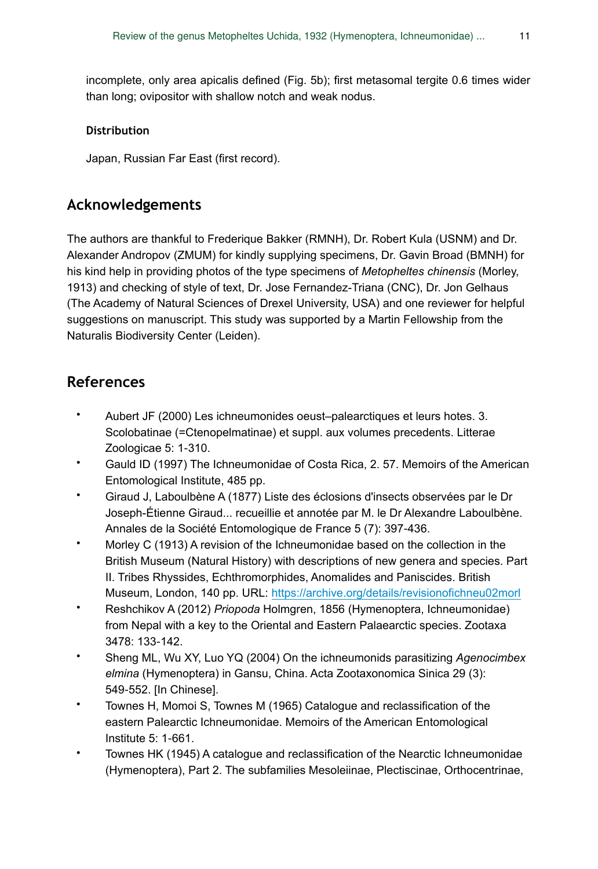incomplete, only area apicalis defined (Fig. 5b); first metasomal tergite 0.6 times wider than long; ovipositor with shallow notch and weak nodus.

#### **Distribution**

Japan, Russian Far East (first record).

## **Acknowledgements**

The authors are thankful to Frederique Bakker (RMNH), Dr. Robert Kula (USNM) and Dr. Alexander Andropov (ZMUM) for kindly supplying specimens, Dr. Gavin Broad (BMNH) for his kind help in providing photos of the type specimens of *Metopheltes chinensis* (Morley, 1913) and checking of style of text, Dr. Jose Fernandez-Triana (CNC), Dr. Jon Gelhaus (The Academy of Natural Sciences of Drexel University, USA) and one reviewer for helpful suggestions on manuscript. This study was supported by a Martin Fellowship from the Naturalis Biodiversity Center (Leiden).

## **References**

- Aubert JF (2000) Les ichneumonides oeust–palearctiques et leurs hotes. 3. Scolobatinae (=Ctenopelmatinae) et suppl. aux volumes precedents. Litterae Zoologicae 5: 1‑310.
- Gauld ID (1997) The Ichneumonidae of Costa Rica, 2. 57. Memoirs of the American Entomological Institute, 485 pp.
- Giraud J, Laboulbène A (1877) Liste des éclosions d'insects observées par le Dr Joseph-Étienne Giraud... recueillie et annotée par M. le Dr Alexandre Laboulbène. Annales de la Société Entomologique de France 5 (7): 397‑436.
- Morley C (1913) A revision of the Ichneumonidae based on the collection in the British Museum (Natural History) with descriptions of new genera and species. Part II. Tribes Rhyssides, Echthromorphides, Anomalides and Paniscides. British Museum, London, 140 pp. URL: <https://archive.org/details/revisionofichneu02morl>
- Reshchikov A (2012) *Priopoda* Holmgren, 1856 (Hymenoptera, Ichneumonidae) from Nepal with a key to the Oriental and Eastern Palaearctic species. Zootaxa 3478: 133‑142.
- Sheng ML, Wu XY, Luo YQ (2004) On the ichneumonids parasitizing *Agenocimbex elmina* (Hymenoptera) in Gansu, China. Acta Zootaxonomica Sinica 29 (3): 549‑552. [In Chinese].
- Townes H, Momoi S, Townes M (1965) Catalogue and reclassification of the eastern Palearctic Ichneumonidae. Memoirs of the American Entomological Institute 5: 1‑661.
- Townes HK (1945) A catalogue and reclassification of the Nearctic Ichneumonidae (Hymenoptera), Part 2. The subfamilies Mesoleiinae, Plectiscinae, Orthocentrinae,